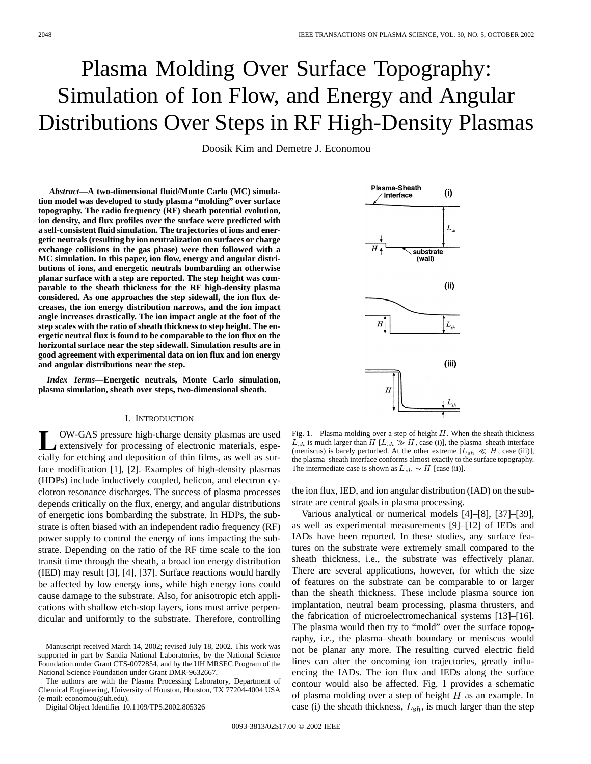# Plasma Molding Over Surface Topography: Simulation of Ion Flow, and Energy and Angular Distributions Over Steps in RF High-Density Plasmas

Doosik Kim and Demetre J. Economou

*Abstract—***A two-dimensional fluid/Monte Carlo (MC) simulation model was developed to study plasma "molding" over surface topography. The radio frequency (RF) sheath potential evolution, ion density, and flux profiles over the surface were predicted with a self-consistent fluid simulation. The trajectories of ions and energetic neutrals (resulting by ion neutralization on surfaces or charge exchange collisions in the gas phase) were then followed with a MC simulation. In this paper, ion flow, energy and angular distributions of ions, and energetic neutrals bombarding an otherwise planar surface with a step are reported. The step height was comparable to the sheath thickness for the RF high-density plasma considered. As one approaches the step sidewall, the ion flux decreases, the ion energy distribution narrows, and the ion impact angle increases drastically. The ion impact angle at the foot of the step scales with the ratio of sheath thickness to step height. The energetic neutral flux is found to be comparable to the ion flux on the horizontal surface near the step sidewall. Simulation results are in good agreement with experimental data on ion flux and ion energy and angular distributions near the step.**

*Index Terms—***Energetic neutrals, Monte Carlo simulation, plasma simulation, sheath over steps, two-dimensional sheath.**

## I. INTRODUCTION

**L** OW-GAS pressure high-charge density plasmas are used<br>extensively for processing of electronic materials, espe-<br>existing for atabian and densition of this films are used to sum cially for etching and deposition of thin films, as well as surface modification [1], [2]. Examples of high-density plasmas (HDPs) include inductively coupled, helicon, and electron cyclotron resonance discharges. The success of plasma processes depends critically on the flux, energy, and angular distributions of energetic ions bombarding the substrate. In HDPs, the substrate is often biased with an independent radio frequency (RF) power supply to control the energy of ions impacting the substrate. Depending on the ratio of the RF time scale to the ion transit time through the sheath, a broad ion energy distribution (IED) may result [3], [4], [37]. Surface reactions would hardly be affected by low energy ions, while high energy ions could cause damage to the substrate. Also, for anisotropic etch applications with shallow etch-stop layers, ions must arrive perpendicular and uniformly to the substrate. Therefore, controlling

The authors are with the Plasma Processing Laboratory, Department of Chemical Engineering, University of Houston, Houston, TX 77204-4004 USA (e-mail: economou@uh.edu).

Digital Object Identifier 10.1109/TPS.2002.805326



the ion flux, IED, and ion angular distribution (IAD) on the substrate are central goals in plasma processing.

Various analytical or numerical models [4]–[8], [37]–[39], as well as experimental measurements [9]–[12] of IEDs and IADs have been reported. In these studies, any surface features on the substrate were extremely small compared to the sheath thickness, i.e., the substrate was effectively planar. There are several applications, however, for which the size of features on the substrate can be comparable to or larger than the sheath thickness. These include plasma source ion implantation, neutral beam processing, plasma thrusters, and the fabrication of microelectromechanical systems [13]–[16]. The plasma would then try to "mold" over the surface topography, i.e., the plasma–sheath boundary or meniscus would not be planar any more. The resulting curved electric field lines can alter the oncoming ion trajectories, greatly influencing the IADs. The ion flux and IEDs along the surface contour would also be affected. Fig. 1 provides a schematic of plasma molding over a step of height  $H$  as an example. In case (i) the sheath thickness,  $L_{sh}$ , is much larger than the step



Manuscript received March 14, 2002; revised July 18, 2002. This work was supported in part by Sandia National Laboratories, by the National Science Foundation under Grant CTS-0072854, and by the UH MRSEC Program of the National Science Foundation under Grant DMR-9632667.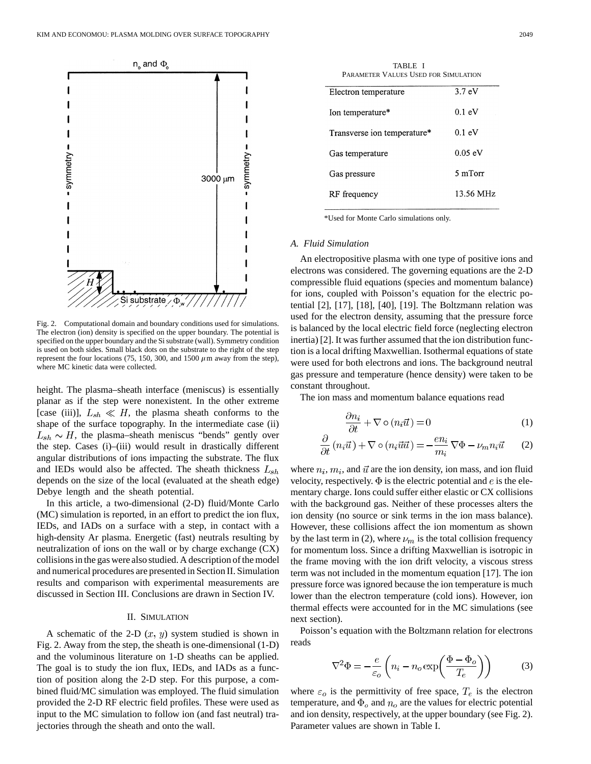

Fig. 2. Computational domain and boundary conditions used for simulations. The electron (ion) density is specified on the upper boundary. The potential is specified on the upper boundary and the Si substrate (wall). Symmetry condition is used on both sides. Small black dots on the substrate to the right of the step represent the four locations (75, 150, 300, and 1500  $\mu$ m away from the step), where MC kinetic data were collected.

height. The plasma–sheath interface (meniscus) is essentially planar as if the step were nonexistent. In the other extreme [case (iii)],  $L_{sh} \ll H$ , the plasma sheath conforms to the shape of the surface topography. In the intermediate case (ii)  $L_{sh} \sim H$ , the plasma–sheath meniscus "bends" gently over the step. Cases (i)–(iii) would result in drastically different angular distributions of ions impacting the substrate. The flux and IEDs would also be affected. The sheath thickness  $L_{sh}$ depends on the size of the local (evaluated at the sheath edge) Debye length and the sheath potential.

In this article, a two-dimensional (2-D) fluid/Monte Carlo (MC) simulation is reported, in an effort to predict the ion flux, IEDs, and IADs on a surface with a step, in contact with a high-density Ar plasma. Energetic (fast) neutrals resulting by neutralization of ions on the wall or by charge exchange (CX) collisions in the gas were also studied. A description of the model and numerical procedures are presented in Section II. Simulation results and comparison with experimental measurements are discussed in Section III. Conclusions are drawn in Section IV.

# II. SIMULATION

A schematic of the 2-D  $(x, y)$  system studied is shown in Fig. 2. Away from the step, the sheath is one-dimensional (1-D) and the voluminous literature on 1-D sheaths can be applied. The goal is to study the ion flux, IEDs, and IADs as a function of position along the 2-D step. For this purpose, a combined fluid/MC simulation was employed. The fluid simulation provided the 2-D RF electric field profiles. These were used as input to the MC simulation to follow ion (and fast neutral) trajectories through the sheath and onto the wall.

| TABLE I<br>PARAMETER VALUES USED FOR SIMULATION |                   |  |  |
|-------------------------------------------------|-------------------|--|--|
| Electron temperature                            | 3.7 <sub>eV</sub> |  |  |
| Ion temperature*                                | $0.1 \text{ eV}$  |  |  |
| Transverse ion temperature*                     | $0.1 \text{ eV}$  |  |  |
| Gas temperature                                 | 0.05 eV           |  |  |
| Gas pressure                                    | 5 mTorr           |  |  |
| RF frequency                                    | 13.56 MHz         |  |  |

\*Used for Monte Carlo simulations only.

#### *A. Fluid Simulation*

An electropositive plasma with one type of positive ions and electrons was considered. The governing equations are the 2-D compressible fluid equations (species and momentum balance) for ions, coupled with Poisson's equation for the electric potential [2], [17], [18], [40], [19]. The Boltzmann relation was used for the electron density, assuming that the pressure force is balanced by the local electric field force (neglecting electron inertia) [2]. It was further assumed that the ion distribution function is a local drifting Maxwellian. Isothermal equations of state were used for both electrons and ions. The background neutral gas pressure and temperature (hence density) were taken to be constant throughout.

The ion mass and momentum balance equations read

$$
\frac{\partial n_i}{\partial t} + \nabla \circ (n_i \vec{u}) = 0 \tag{1}
$$

$$
\frac{\partial}{\partial t} (n_i \vec{u}) + \nabla \circ (n_i \vec{u} \vec{u}) = -\frac{en_i}{m_i} \nabla \Phi - \nu_m n_i \vec{u}
$$
 (2)

where  $n_i$ ,  $m_i$ , and  $\vec{u}$  are the ion density, ion mass, and ion fluid velocity, respectively.  $\Phi$  is the electric potential and e is the elementary charge. Ions could suffer either elastic or CX collisions with the background gas. Neither of these processes alters the ion density (no source or sink terms in the ion mass balance). However, these collisions affect the ion momentum as shown by the last term in (2), where  $\nu_m$  is the total collision frequency for momentum loss. Since a drifting Maxwellian is isotropic in the frame moving with the ion drift velocity, a viscous stress term was not included in the momentum equation [17]. The ion pressure force was ignored because the ion temperature is much lower than the electron temperature (cold ions). However, ion thermal effects were accounted for in the MC simulations (see next section).

Poisson's equation with the Boltzmann relation for electrons reads

$$
\nabla^2 \Phi = -\frac{e}{\varepsilon_o} \left( n_i - n_o \exp\left(\frac{\Phi - \Phi_o}{T_e}\right) \right) \tag{3}
$$

where  $\varepsilon_o$  is the permittivity of free space,  $T_e$  is the electron temperature, and  $\Phi_o$  and  $n_o$  are the values for electric potential and ion density, respectively, at the upper boundary (see Fig. 2). Parameter values are shown in Table I.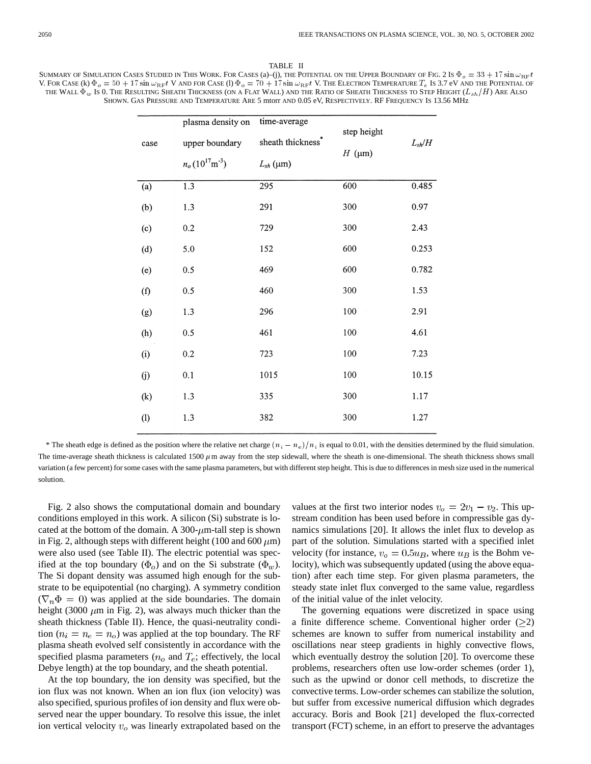SUMMARY OF SIMULATION CASES STUDIED IN THIS WORK. FOR CASES (a)–(j), THE POTENTIAL ON THE UPPER BOUNDARY OF FIG. 2 IS  $\Phi_o = 33 + 17 \sin \omega_{\rm RF} t$ V. FOR CASE (k)  $\Phi_o = 50 + 17 \sin \omega_{\rm RF} t$  V AND FOR CASE (l)  $\Phi_o = 70 + 17 \sin \omega_{\rm RF} t$  V. The ELECTRON TEMPERATURE  $T_e$  IS 3.7 eV AND THE POTENTIAL OF THE WALL  $\Phi_w$  Is 0. The Resulting Sheath Thickness (on a Flat Wall) and the Ratio of Sheath Thickness to Step Height ( $L_{sh}/H$ ) Are Also SHOWN. GAS PRESSURE AND TEMPERATURE ARE 5 mtorr AND 0.05 eV, RESPECTIVELY. RF FREQUENCY IS 13.56 MHz

| case | plasma density on    | time-average                  | step height                 |            |
|------|----------------------|-------------------------------|-----------------------------|------------|
|      | upper boundary       | sheath thickness <sup>*</sup> | $H \text{ } (\mu \text{m})$ | $L_{sh}/H$ |
|      | $n_o(10^{17}m^{-3})$ | $L_{sh}$ (µm)                 |                             |            |
| (a)  | 1.3                  | 295                           | 600                         | 0.485      |
| (b)  | 1.3                  | 291                           | 300                         | 0.97       |
| (c)  | 0.2                  | 729                           | 300                         | 2.43       |
| (d)  | 5.0                  | 152                           | 600                         | 0.253      |
| (e)  | 0.5                  | 469                           | 600                         | 0.782      |
| (f)  | 0.5                  | 460                           | 300                         | 1.53       |
| (g)  | 1.3                  | 296                           | 100                         | 2.91       |
| (h)  | 0.5                  | 461                           | 100                         | 4.61       |
| (i)  | 0.2                  | 723                           | 100                         | 7.23       |
| (j)  | 0.1                  | 1015                          | 100                         | 10.15      |
| (k)  | 1.3                  | 335                           | 300                         | 1.17       |
| (1)  | 1.3                  | 382                           | 300                         | 1.27       |
|      |                      |                               |                             |            |

\* The sheath edge is defined as the position where the relative net charge  $(n_i - n_e)/n_i$  is equal to 0.01, with the densities determined by the fluid simulation. The time-average sheath thickness is calculated 1500  $\mu$ m away from the step sidewall, where the sheath is one-dimensional. The sheath thickness shows small variation (a few percent) for some cases with the same plasma parameters, but with different step height. This is due to differences in mesh size used in the numerical solution.

Fig. 2 also shows the computational domain and boundary conditions employed in this work. A silicon (Si) substrate is located at the bottom of the domain. A 300- $\mu$ m-tall step is shown in Fig. 2, although steps with different height (100 and 600  $\mu$ m) were also used (see Table II). The electric potential was specified at the top boundary  $(\Phi_o)$  and on the Si substrate  $(\Phi_w)$ . The Si dopant density was assumed high enough for the substrate to be equipotential (no charging). A symmetry condition  $(\nabla_n \Phi = 0)$  was applied at the side boundaries. The domain height (3000  $\mu$ m in Fig. 2), was always much thicker than the sheath thickness (Table II). Hence, the quasi-neutrality condition ( $n_i = n_e = n_o$ ) was applied at the top boundary. The RF plasma sheath evolved self consistently in accordance with the specified plasma parameters  $(n_o$  and  $T_e$ ; effectively, the local Debye length) at the top boundary, and the sheath potential.

At the top boundary, the ion density was specified, but the ion flux was not known. When an ion flux (ion velocity) was also specified, spurious profiles of ion density and flux were observed near the upper boundary. To resolve this issue, the inlet ion vertical velocity  $v<sub>o</sub>$  was linearly extrapolated based on the values at the first two interior nodes  $v_o = 2v_1 - v_2$ . This upstream condition has been used before in compressible gas dynamics simulations [20]. It allows the inlet flux to develop as part of the solution. Simulations started with a specified inlet velocity (for instance,  $v_o = 0.5u_B$ , where  $u_B$  is the Bohm velocity), which was subsequently updated (using the above equation) after each time step. For given plasma parameters, the steady state inlet flux converged to the same value, regardless of the initial value of the inlet velocity.

The governing equations were discretized in space using a finite difference scheme. Conventional higher order  $(\geq 2)$ schemes are known to suffer from numerical instability and oscillations near steep gradients in highly convective flows, which eventually destroy the solution [20]. To overcome these problems, researchers often use low-order schemes (order 1), such as the upwind or donor cell methods, to discretize the convective terms. Low-order schemes can stabilize the solution, but suffer from excessive numerical diffusion which degrades accuracy. Boris and Book [21] developed the flux-corrected transport (FCT) scheme, in an effort to preserve the advantages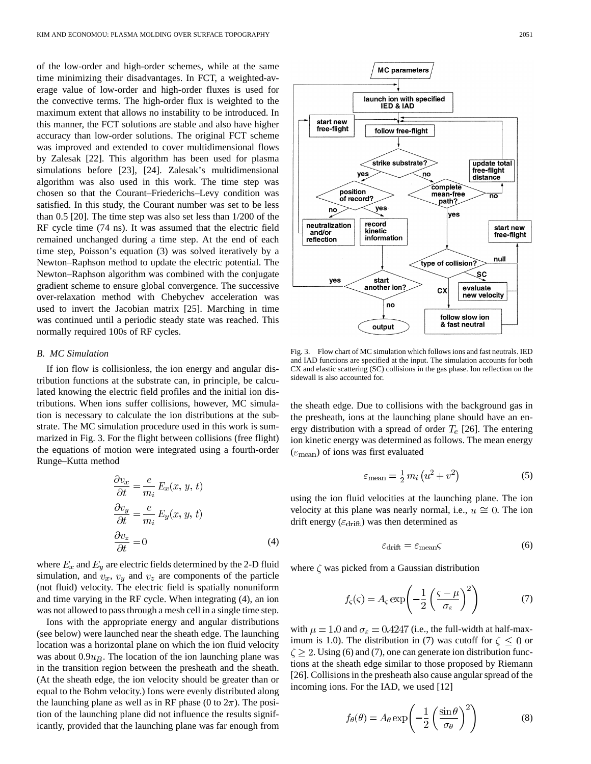of the low-order and high-order schemes, while at the same time minimizing their disadvantages. In FCT, a weighted-average value of low-order and high-order fluxes is used for the convective terms. The high-order flux is weighted to the maximum extent that allows no instability to be introduced. In this manner, the FCT solutions are stable and also have higher accuracy than low-order solutions. The original FCT scheme was improved and extended to cover multidimensional flows by Zalesak [22]. This algorithm has been used for plasma simulations before [23], [24]. Zalesak's multidimensional algorithm was also used in this work. The time step was chosen so that the Courant–Friederichs–Levy condition was satisfied. In this study, the Courant number was set to be less than 0.5 [20]. The time step was also set less than 1/200 of the RF cycle time (74 ns). It was assumed that the electric field remained unchanged during a time step. At the end of each time step, Poisson's equation (3) was solved iteratively by a Newton–Raphson method to update the electric potential. The Newton–Raphson algorithm was combined with the conjugate gradient scheme to ensure global convergence. The successive over-relaxation method with Chebychev acceleration was used to invert the Jacobian matrix [25]. Marching in time was continued until a periodic steady state was reached. This normally required 100s of RF cycles.

### *B. MC Simulation*

If ion flow is collisionless, the ion energy and angular distribution functions at the substrate can, in principle, be calculated knowing the electric field profiles and the initial ion distributions. When ions suffer collisions, however, MC simulation is necessary to calculate the ion distributions at the substrate. The MC simulation procedure used in this work is summarized in Fig. 3. For the flight between collisions (free flight) the equations of motion were integrated using a fourth-order Runge–Kutta method

$$
\frac{\partial v_x}{\partial t} = \frac{e}{m_i} E_x(x, y, t)
$$

$$
\frac{\partial v_y}{\partial t} = \frac{e}{m_i} E_y(x, y, t)
$$

$$
\frac{\partial v_z}{\partial t} = 0
$$
(4)

where  $E_x$  and  $E_y$  are electric fields determined by the 2-D fluid simulation, and  $v_x$ ,  $v_y$  and  $v_z$  are components of the particle (not fluid) velocity. The electric field is spatially nonuniform and time varying in the RF cycle. When integrating (4), an ion was not allowed to pass through a mesh cell in a single time step.

Ions with the appropriate energy and angular distributions (see below) were launched near the sheath edge. The launching location was a horizontal plane on which the ion fluid velocity was about  $0.9u<sub>B</sub>$ . The location of the ion launching plane was in the transition region between the presheath and the sheath. (At the sheath edge, the ion velocity should be greater than or equal to the Bohm velocity.) Ions were evenly distributed along the launching plane as well as in RF phase (0 to  $2\pi$ ). The position of the launching plane did not influence the results significantly, provided that the launching plane was far enough from



Fig. 3. Flow chart of MC simulation which follows ions and fast neutrals. IED and IAD functions are specified at the input. The simulation accounts for both CX and elastic scattering (SC) collisions in the gas phase. Ion reflection on the sidewall is also accounted for.

the sheath edge. Due to collisions with the background gas in the presheath, ions at the launching plane should have an energy distribution with a spread of order  $T_e$  [26]. The entering ion kinetic energy was determined as follows. The mean energy  $(\varepsilon_{\text{mean}})$  of ions was first evaluated

$$
\varepsilon_{\text{mean}} = \frac{1}{2} m_i \left( u^2 + v^2 \right) \tag{5}
$$

using the ion fluid velocities at the launching plane. The ion velocity at this plane was nearly normal, i.e.,  $u \approx 0$ . The ion drift energy ( $\varepsilon_{\rm drift}$ ) was then determined as

$$
\epsilon_{\text{drift}} = \epsilon_{\text{mean}}\varsigma \tag{6}
$$

where  $\zeta$  was picked from a Gaussian distribution

$$
f_{\varsigma}(\varsigma) = A_{\varsigma} \exp\left(-\frac{1}{2} \left(\frac{\varsigma - \mu}{\sigma_{\varepsilon}}\right)^2\right) \tag{7}
$$

with  $\mu = 1.0$  and  $\sigma_{\varepsilon} = 0.4247$  (i.e., the full-width at half-maximum is 1.0). The distribution in (7) was cutoff for  $\zeta \leq 0$  or  $\zeta \geq 2$ . Using (6) and (7), one can generate ion distribution functions at the sheath edge similar to those proposed by Riemann [26]. Collisions in the presheath also cause angular spread of the incoming ions. For the IAD, we used [12]

$$
f_{\theta}(\theta) = A_{\theta} \exp\left(-\frac{1}{2} \left(\frac{\sin \theta}{\sigma_{\theta}}\right)^2\right) \tag{8}
$$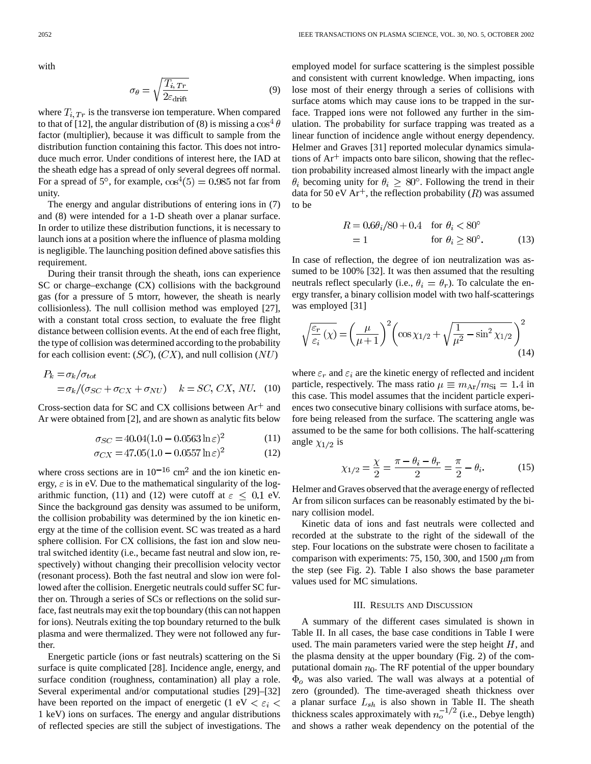with

$$
\sigma_{\theta} = \sqrt{\frac{T_{i, Tr}}{2\varepsilon_{\text{drift}}}}
$$
(9)

where  $T_{i,Tr}$  is the transverse ion temperature. When compared to that of [12], the angular distribution of (8) is missing a  $\cos^4 \theta$ factor (multiplier), because it was difficult to sample from the distribution function containing this factor. This does not introduce much error. Under conditions of interest here, the IAD at the sheath edge has a spread of only several degrees off normal. For a spread of 5°, for example,  $\cos^4(5) = 0.985$  not far from unity.

The energy and angular distributions of entering ions in (7) and (8) were intended for a 1-D sheath over a planar surface. In order to utilize these distribution functions, it is necessary to launch ions at a position where the influence of plasma molding is negligible. The launching position defined above satisfies this requirement.

During their transit through the sheath, ions can experience SC or charge–exchange (CX) collisions with the background gas (for a pressure of 5 mtorr, however, the sheath is nearly collisionless). The null collision method was employed [27], with a constant total cross section, to evaluate the free flight distance between collision events. At the end of each free flight, the type of collision was determined according to the probability for each collision event:  $(SC)$ ,  $(CX)$ , and null collision  $(NU)$ 

$$
P_k = \sigma_k / \sigma_{tot}
$$
  
=  $\sigma_k / (\sigma_{SC} + \sigma_{CX} + \sigma_{NU})$   $k = SC, CX, NU.$  (10)

Cross-section data for SC and CX collisions between  $Ar<sup>+</sup>$  and Ar were obtained from [2], and are shown as analytic fits below

$$
\sigma_{SC} = 40.04(1.0 - 0.0563 \ln \varepsilon)^2 \tag{11}
$$

$$
\sigma_{CX} = 47.05(1.0 - 0.0557 \ln \varepsilon)^2 \tag{12}
$$

where cross sections are in  $10^{-16}$  cm<sup>2</sup> and the ion kinetic energy,  $\varepsilon$  is in eV. Due to the mathematical singularity of the logarithmic function, (11) and (12) were cutoff at  $\varepsilon \leq 0.1$  eV. Since the background gas density was assumed to be uniform, the collision probability was determined by the ion kinetic energy at the time of the collision event. SC was treated as a hard sphere collision. For CX collisions, the fast ion and slow neutral switched identity (i.e., became fast neutral and slow ion, respectively) without changing their precollision velocity vector (resonant process). Both the fast neutral and slow ion were followed after the collision. Energetic neutrals could suffer SC further on. Through a series of SCs or reflections on the solid surface, fast neutrals may exit the top boundary (this can not happen for ions). Neutrals exiting the top boundary returned to the bulk plasma and were thermalized. They were not followed any further.

Energetic particle (ions or fast neutrals) scattering on the Si surface is quite complicated [28]. Incidence angle, energy, and surface condition (roughness, contamination) all play a role. Several experimental and/or computational studies [29]–[32] have been reported on the impact of energetic (1 eV  $\langle \varepsilon_i \rangle$ 1 keV) ions on surfaces. The energy and angular distributions of reflected species are still the subject of investigations. The employed model for surface scattering is the simplest possible and consistent with current knowledge. When impacting, ions lose most of their energy through a series of collisions with surface atoms which may cause ions to be trapped in the surface. Trapped ions were not followed any further in the simulation. The probability for surface trapping was treated as a linear function of incidence angle without energy dependency. Helmer and Graves [31] reported molecular dynamics simulations of  $Ar^+$  impacts onto bare silicon, showing that the reflection probability increased almost linearly with the impact angle  $\theta_i$  becoming unity for  $\theta_i \geq 80^\circ$ . Following the trend in their data for 50 eV Ar<sup>+</sup>, the reflection probability  $(R)$  was assumed to be

$$
R = 0.6\theta_i/80 + 0.4 \quad \text{for } \theta_i < 80^\circ
$$
\n
$$
= 1 \qquad \qquad \text{for } \theta_i \ge 80^\circ. \tag{13}
$$

In case of reflection, the degree of ion neutralization was assumed to be 100% [32]. It was then assumed that the resulting neutrals reflect specularly (i.e.,  $\theta_i = \theta_r$ ). To calculate the energy transfer, a binary collision model with two half-scatterings was employed [31]

$$
\sqrt{\frac{\varepsilon_r}{\varepsilon_i}}(\chi) = \left(\frac{\mu}{\mu+1}\right)^2 \left(\cos\chi_{1/2} + \sqrt{\frac{1}{\mu^2} - \sin^2\chi_{1/2}}\right)^2
$$
\n(14)

where  $\varepsilon_r$  and  $\varepsilon_i$  are the kinetic energy of reflected and incident particle, respectively. The mass ratio  $\mu \equiv m_{\text{Ar}}/m_{\text{Si}} = 1.4$  in this case. This model assumes that the incident particle experiences two consecutive binary collisions with surface atoms, before being released from the surface. The scattering angle was assumed to be the same for both collisions. The half-scattering angle  $\chi_{1/2}$  is

$$
\chi_{1/2} = \frac{\chi}{2} = \frac{\pi - \theta_i - \theta_r}{2} = \frac{\pi}{2} - \theta_i.
$$
 (15)

Helmer and Graves observed that the average energy of reflected Ar from silicon surfaces can be reasonably estimated by the binary collision model.

Kinetic data of ions and fast neutrals were collected and recorded at the substrate to the right of the sidewall of the step. Four locations on the substrate were chosen to facilitate a comparison with experiments: 75, 150, 300, and 1500  $\mu$ m from the step (see Fig. 2). Table I also shows the base parameter values used for MC simulations.

#### III. RESULTS AND DISCUSSION

A summary of the different cases simulated is shown in Table II. In all cases, the base case conditions in Table I were used. The main parameters varied were the step height  $H$ , and the plasma density at the upper boundary (Fig. 2) of the computational domain  $n_0$ . The RF potential of the upper boundary  $\Phi$ <sub>o</sub> was also varied. The wall was always at a potential of zero (grounded). The time-averaged sheath thickness over a planar surface  $L_{sh}$  is also shown in Table II. The sheath thickness scales approximately with  $n_o^{-1/2}$  (i.e., Debye length) and shows a rather weak dependency on the potential of the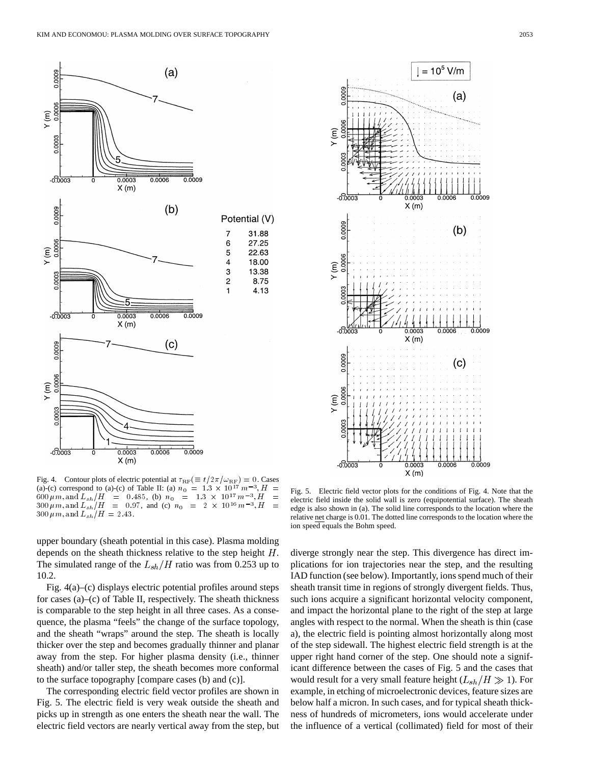

Fig. 4. Contour plots of electric potential at  $\tau_{\rm RF}(\equiv t/2\pi/\omega_{\rm RF})=0$ . Cases (a)-(c) correspond to (a)-(c) of Table II: (a)  $n_0 = 1.3 \times 10^{17} m^{-3}$ ,  $H =$  $600 \mu m$ , and  $L_{sh}/H$  = 0.485, (b)  $n_0$  = 1.3  $\times$  10<sup>17</sup>  $m^{-3}$ ,  $H$  =  $300 \,\mu m$ , and  $L_{sh}/H$  = 0.97, and (c)  $n_0$  = 2  $\times$  10<sup>16</sup>  $m^{-3}$ , H =  $300 \,\mu m$ , and  $L_{sh}/H = 2.43$ .

upper boundary (sheath potential in this case). Plasma molding depends on the sheath thickness relative to the step height  $H$ . The simulated range of the  $L_{sh}/H$  ratio was from 0.253 up to 10.2.

Fig. 4(a)–(c) displays electric potential profiles around steps for cases (a)–(c) of Table II, respectively. The sheath thickness is comparable to the step height in all three cases. As a consequence, the plasma "feels" the change of the surface topology, and the sheath "wraps" around the step. The sheath is locally thicker over the step and becomes gradually thinner and planar away from the step. For higher plasma density (i.e., thinner sheath) and/or taller step, the sheath becomes more conformal to the surface topography [compare cases (b) and (c)].

The corresponding electric field vector profiles are shown in Fig. 5. The electric field is very weak outside the sheath and picks up in strength as one enters the sheath near the wall. The electric field vectors are nearly vertical away from the step, but



Fig. 5. Electric field vector plots for the conditions of Fig. 4. Note that the electric field inside the solid wall is zero (equipotential surface). The sheath edge is also shown in (a). The solid line corresponds to the location where the relative net charge is 0.01. The dotted line corresponds to the location where the ion speed equals the Bohm speed.

diverge strongly near the step. This divergence has direct implications for ion trajectories near the step, and the resulting IAD function (see below). Importantly, ions spend much of their sheath transit time in regions of strongly divergent fields. Thus, such ions acquire a significant horizontal velocity component, and impact the horizontal plane to the right of the step at large angles with respect to the normal. When the sheath is thin (case a), the electric field is pointing almost horizontally along most of the step sidewall. The highest electric field strength is at the upper right hand corner of the step. One should note a significant difference between the cases of Fig. 5 and the cases that would result for a very small feature height  $(L_{sh}/H \gg 1)$ . For example, in etching of microelectronic devices, feature sizes are below half a micron. In such cases, and for typical sheath thickness of hundreds of micrometers, ions would accelerate under the influence of a vertical (collimated) field for most of their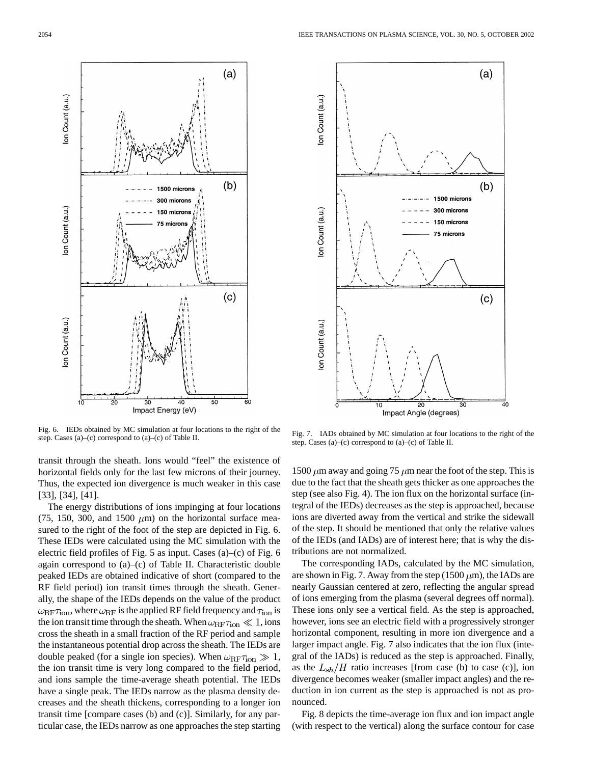

Fig. 6. IEDs obtained by MC simulation at four locations to the right of the step. Cases (a)–(c) correspond to (a)–(c) of Table II.

transit through the sheath. Ions would "feel" the existence of horizontal fields only for the last few microns of their journey. Thus, the expected ion divergence is much weaker in this case [33], [34], [41].

The energy distributions of ions impinging at four locations (75, 150, 300, and 1500  $\mu$ m) on the horizontal surface measured to the right of the foot of the step are depicted in Fig. 6. These IEDs were calculated using the MC simulation with the electric field profiles of Fig. 5 as input. Cases (a)–(c) of Fig. 6 again correspond to (a)–(c) of Table II. Characteristic double peaked IEDs are obtained indicative of short (compared to the RF field period) ion transit times through the sheath. Generally, the shape of the IEDs depends on the value of the product  $\omega_{\rm RF} \tau_{\rm ion}$ , where  $\omega_{\rm RF}$  is the applied RF field frequency and  $\tau_{\rm ion}$  is the ion transit time through the sheath. When  $\omega_{\text{RF}}\tau_{\text{ion}} \ll 1$ , ions cross the sheath in a small fraction of the RF period and sample the instantaneous potential drop across the sheath. The IEDs are double peaked (for a single ion species). When  $\omega_{\rm RF} \tau_{\rm ion} \gg 1$ , the ion transit time is very long compared to the field period, and ions sample the time-average sheath potential. The IEDs have a single peak. The IEDs narrow as the plasma density decreases and the sheath thickens, corresponding to a longer ion transit time [compare cases (b) and (c)]. Similarly, for any particular case, the IEDs narrow as one approaches the step starting



Fig. 7. IADs obtained by MC simulation at four locations to the right of the step. Cases (a)–(c) correspond to (a)–(c) of Table II.

1500  $\mu$ m away and going 75  $\mu$ m near the foot of the step. This is due to the fact that the sheath gets thicker as one approaches the step (see also Fig. 4). The ion flux on the horizontal surface (integral of the IEDs) decreases as the step is approached, because ions are diverted away from the vertical and strike the sidewall of the step. It should be mentioned that only the relative values of the IEDs (and IADs) are of interest here; that is why the distributions are not normalized.

The corresponding IADs, calculated by the MC simulation, are shown in Fig. 7. Away from the step (1500  $\mu$ m), the IADs are nearly Gaussian centered at zero, reflecting the angular spread of ions emerging from the plasma (several degrees off normal). These ions only see a vertical field. As the step is approached, however, ions see an electric field with a progressively stronger horizontal component, resulting in more ion divergence and a larger impact angle. Fig. 7 also indicates that the ion flux (integral of the IADs) is reduced as the step is approached. Finally, as the  $L_{sh}/H$  ratio increases [from case (b) to case (c)], ion divergence becomes weaker (smaller impact angles) and the reduction in ion current as the step is approached is not as pronounced.

Fig. 8 depicts the time-average ion flux and ion impact angle (with respect to the vertical) along the surface contour for case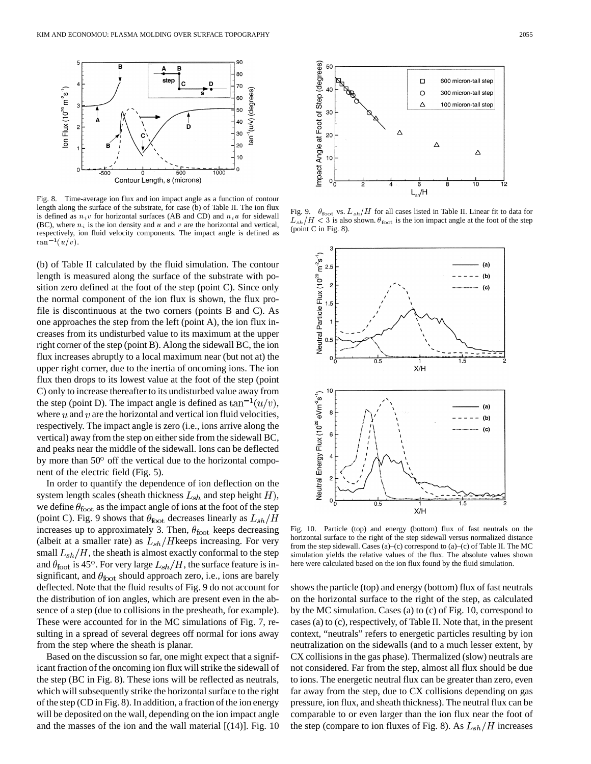

Fig. 8. Time-average ion flux and ion impact angle as a function of contour length along the surface of the substrate, for case (b) of Table II. The ion flux is defined as  $n_i v$  for horizontal surfaces (AB and CD) and  $n_i u$  for sidewall (BC), where  $n_i$  is the ion density and u and v are the horizontal and vertical, respectively, ion fluid velocity components. The impact angle is defined as  $\tan^{-1}(u/v)$ .

(b) of Table II calculated by the fluid simulation. The contour length is measured along the surface of the substrate with position zero defined at the foot of the step (point C). Since only the normal component of the ion flux is shown, the flux profile is discontinuous at the two corners (points B and C). As one approaches the step from the left (point A), the ion flux increases from its undisturbed value to its maximum at the upper right corner of the step (point B). Along the sidewall BC, the ion flux increases abruptly to a local maximum near (but not at) the upper right corner, due to the inertia of oncoming ions. The ion flux then drops to its lowest value at the foot of the step (point C) only to increase thereafter to its undisturbed value away from the step (point D). The impact angle is defined as  $\tan^{-1}(u/v)$ , where  $u$  and  $v$  are the horizontal and vertical ion fluid velocities, respectively. The impact angle is zero (i.e., ions arrive along the vertical) away from the step on either side from the sidewall BC, and peaks near the middle of the sidewall. Ions can be deflected by more than  $50^{\circ}$  off the vertical due to the horizontal component of the electric field (Fig. 5).

In order to quantify the dependence of ion deflection on the system length scales (sheath thickness  $L_{sh}$  and step height  $H$ ), we define  $\theta_{\text{foot}}$  as the impact angle of ions at the foot of the step (point C). Fig. 9 shows that  $\theta_{\text{foot}}$  decreases linearly as  $L_{sh}/H$ increases up to approximately 3. Then,  $\theta_{\text{foot}}$  keeps decreasing (albeit at a smaller rate) as  $L_{sh}/H$ keeps increasing. For very small  $L_{sh}/H$ , the sheath is almost exactly conformal to the step and  $\theta_{\rm foot}$  is 45°. For very large  $L_{sh}/H$ , the surface feature is insignificant, and  $\theta_{\text{foot}}$  should approach zero, i.e., ions are barely deflected. Note that the fluid results of Fig. 9 do not account for the distribution of ion angles, which are present even in the absence of a step (due to collisions in the presheath, for example). These were accounted for in the MC simulations of Fig. 7, resulting in a spread of several degrees off normal for ions away from the step where the sheath is planar.

Based on the discussion so far, one might expect that a significant fraction of the oncoming ion flux will strike the sidewall of the step (BC in Fig. 8). These ions will be reflected as neutrals, which will subsequently strike the horizontal surface to the right of the step (CD in Fig. 8). In addition, a fraction of the ion energy will be deposited on the wall, depending on the ion impact angle and the masses of the ion and the wall material [(14)]. Fig. 10



Fig. 9.  $\theta_{\text{foot}}$  vs.  $L_{sh}/H$  for all cases listed in Table II. Linear fit to data for  $L_{sh}/H$  < 3 is also shown.  $\theta_{\rm foot}$  is the ion impact angle at the foot of the step (point C in Fig. 8).



Fig. 10. Particle (top) and energy (bottom) flux of fast neutrals on the horizontal surface to the right of the step sidewall versus normalized distance from the step sidewall. Cases (a)–(c) correspond to (a)–(c) of Table II. The MC simulation yields the relative values of the flux. The absolute values shown here were calculated based on the ion flux found by the fluid simulation.

shows the particle (top) and energy (bottom) flux of fast neutrals on the horizontal surface to the right of the step, as calculated by the MC simulation. Cases (a) to (c) of Fig. 10, correspond to cases (a) to (c), respectively, of Table II. Note that, in the present context, "neutrals" refers to energetic particles resulting by ion neutralization on the sidewalls (and to a much lesser extent, by CX collisions in the gas phase). Thermalized (slow) neutrals are not considered. Far from the step, almost all flux should be due to ions. The energetic neutral flux can be greater than zero, even far away from the step, due to CX collisions depending on gas pressure, ion flux, and sheath thickness). The neutral flux can be comparable to or even larger than the ion flux near the foot of the step (compare to ion fluxes of Fig. 8). As  $L_{sh}/H$  increases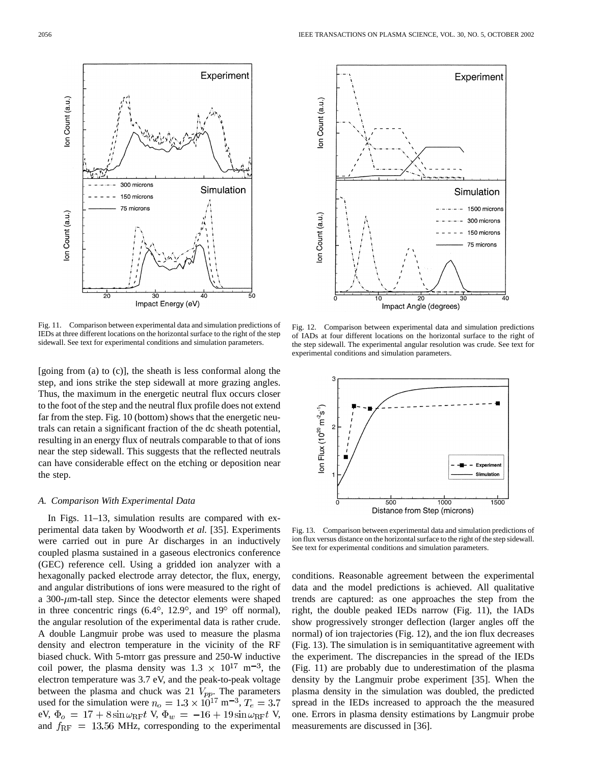

Fig. 11. Comparison between experimental data and simulation predictions of IEDs at three different locations on the horizontal surface to the right of the step sidewall. See text for experimental conditions and simulation parameters.

[going from (a) to (c)], the sheath is less conformal along the step, and ions strike the step sidewall at more grazing angles. Thus, the maximum in the energetic neutral flux occurs closer to the foot of the step and the neutral flux profile does not extend far from the step. Fig. 10 (bottom) shows that the energetic neutrals can retain a significant fraction of the dc sheath potential, resulting in an energy flux of neutrals comparable to that of ions near the step sidewall. This suggests that the reflected neutrals can have considerable effect on the etching or deposition near the step.

#### *A. Comparison With Experimental Data*

In Figs. 11–13, simulation results are compared with experimental data taken by Woodworth *et al.* [35]. Experiments were carried out in pure Ar discharges in an inductively coupled plasma sustained in a gaseous electronics conference (GEC) reference cell. Using a gridded ion analyzer with a hexagonally packed electrode array detector, the flux, energy, and angular distributions of ions were measured to the right of a 300- $\mu$ m-tall step. Since the detector elements were shaped in three concentric rings  $(6.4^{\circ}, 12.9^{\circ},$  and  $19^{\circ}$  off normal), the angular resolution of the experimental data is rather crude. A double Langmuir probe was used to measure the plasma density and electron temperature in the vicinity of the RF biased chuck. With 5-mtorr gas pressure and 250-W inductive coil power, the plasma density was  $1.3 \times 10^{17} \text{ m}^{-3}$ , the electron temperature was 3.7 eV, and the peak-to-peak voltage between the plasma and chuck was 21  $V_{pp}$ . The parameters used for the simulation were  $n_o = 1.3 \times 10^{17} \text{ m}^{-3}$ ,  $T_e = 3.7$ eV,  $\Phi_o = 17 + 8\sin\omega_{RF}t$  V,  $\Phi_w = -16 + 19\sin\omega_{RF}t$  V, and  $f_{\rm RF}$  = 13.56 MHz, corresponding to the experimental



Fig. 12. Comparison between experimental data and simulation predictions of IADs at four different locations on the horizontal surface to the right of the step sidewall. The experimental angular resolution was crude. See text for experimental conditions and simulation parameters.



Fig. 13. Comparison between experimental data and simulation predictions of ion flux versus distance on the horizontal surface to the right of the step sidewall. See text for experimental conditions and simulation parameters.

conditions. Reasonable agreement between the experimental data and the model predictions is achieved. All qualitative trends are captured: as one approaches the step from the right, the double peaked IEDs narrow (Fig. 11), the IADs show progressively stronger deflection (larger angles off the normal) of ion trajectories (Fig. 12), and the ion flux decreases (Fig. 13). The simulation is in semiquantitative agreement with the experiment. The discrepancies in the spread of the IEDs (Fig. 11) are probably due to underestimation of the plasma density by the Langmuir probe experiment [35]. When the plasma density in the simulation was doubled, the predicted spread in the IEDs increased to approach the the measured one. Errors in plasma density estimations by Langmuir probe measurements are discussed in [36].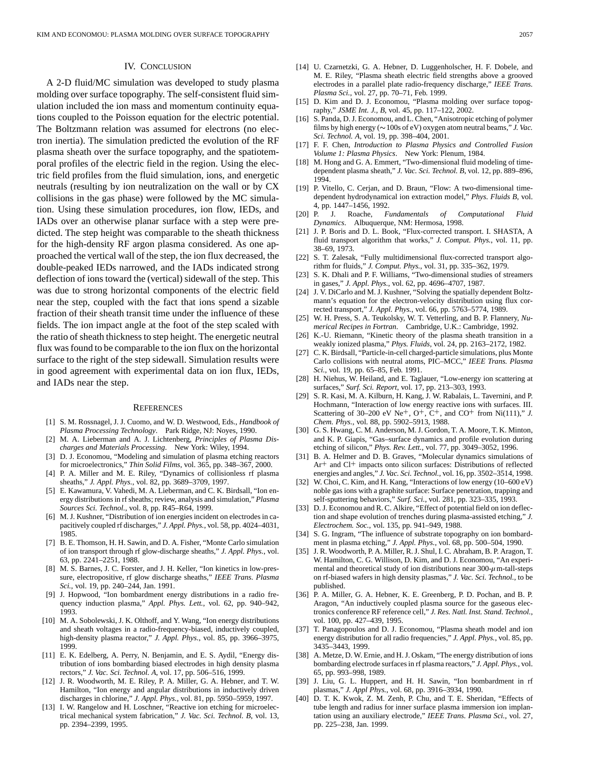#### IV. CONCLUSION

A 2-D fluid/MC simulation was developed to study plasma molding over surface topography. The self-consistent fluid simulation included the ion mass and momentum continuity equations coupled to the Poisson equation for the electric potential. The Boltzmann relation was assumed for electrons (no electron inertia). The simulation predicted the evolution of the RF plasma sheath over the surface topography, and the spatiotemporal profiles of the electric field in the region. Using the electric field profiles from the fluid simulation, ions, and energetic neutrals (resulting by ion neutralization on the wall or by CX collisions in the gas phase) were followed by the MC simulation. Using these simulation procedures, ion flow, IEDs, and IADs over an otherwise planar surface with a step were predicted. The step height was comparable to the sheath thickness for the high-density RF argon plasma considered. As one approached the vertical wall of the step, the ion flux decreased, the double-peaked IEDs narrowed, and the IADs indicated strong deflection of ions toward the (vertical) sidewall of the step. This was due to strong horizontal components of the electric field near the step, coupled with the fact that ions spend a sizable fraction of their sheath transit time under the influence of these fields. The ion impact angle at the foot of the step scaled with the ratio of sheath thickness to step height. The energetic neutral flux was found to be comparable to the ion flux on the horizontal surface to the right of the step sidewall. Simulation results were in good agreement with experimental data on ion flux, IEDs, and IADs near the step.

## **REFERENCES**

- [1] S. M. Rossnagel, J. J. Cuomo, and W. D. Westwood, Eds., *Handbook of Plasma Processing Technology*. Park Ridge, NJ: Noyes, 1990.
- [2] M. A. Lieberman and A. J. Lichtenberg, *Principles of Plasma Discharges and Materials Processing*. New York: Wiley, 1994.
- [3] D. J. Economou, "Modeling and simulation of plasma etching reactors for microelectronics," *Thin Solid Films*, vol. 365, pp. 348–367, 2000.
- [4] P. A. Miller and M. E. Riley, "Dynamics of collisionless rf plasma sheaths," *J. Appl. Phys.*, vol. 82, pp. 3689–3709, 1997.
- [5] E. Kawamura, V. Vahedi, M. A. Lieberman, and C. K. Birdsall, "Ion energy distributions in rf sheaths; review, analysis and simulation," *Plasma Sources Sci. Technol.*, vol. 8, pp. R45–R64, 1999.
- [6] M. J. Kushner, "Distribution of ion energies incident on electrodes in capacitively coupled rf discharges," *J. Appl. Phys.*, vol. 58, pp. 4024–4031, 1985.
- [7] B. E. Thomson, H. H. Sawin, and D. A. Fisher, "Monte Carlo simulation of ion transport through rf glow-discharge sheaths," *J. Appl. Phys.*, vol. 63, pp. 2241–2251, 1988.
- [8] M. S. Barnes, J. C. Forster, and J. H. Keller, "Ion kinetics in low-pressure, electropositive, rf glow discharge sheaths," *IEEE Trans. Plasma Sci.*, vol. 19, pp. 240–244, Jan. 1991.
- [9] J. Hopwood, "Ion bombardment energy distributions in a radio frequency induction plasma," *Appl. Phys. Lett.*, vol. 62, pp. 940–942, 1993.
- [10] M. A. Sobolewski, J. K. Olthoff, and Y. Wang, "Ion energy distributions and sheath voltages in a radio-frequency-biased, inductively coupled, high-density plasma reactor," *J. Appl. Phys.*, vol. 85, pp. 3966–3975, 1999.
- [11] E. K. Edelberg, A. Perry, N. Benjamin, and E. S. Aydil, "Energy distribution of ions bombarding biased electrodes in high density plasma rectors," *J. Vac. Sci. Technol. A*, vol. 17, pp. 506–516, 1999.
- [12] J. R. Woodworth, M. E. Riley, P. A. Miller, G. A. Hebner, and T. W. Hamilton, "Ion energy and angular distributions in inductively driven discharges in chlorine," *J. Appl. Phys.*, vol. 81, pp. 5950–5959, 1997.
- [13] I. W. Rangelow and H. Loschner, "Reactive ion etching for microelectrical mechanical system fabrication," *J. Vac. Sci. Technol. B*, vol. 13, pp. 2394–2399, 1995.
- [14] U. Czarnetzki, G. A. Hebner, D. Luggenholscher, H. F. Dobele, and M. E. Riley, "Plasma sheath electric field strengths above a grooved electrodes in a parallel plate radio-frequency discharge," *IEEE Trans. Plasma Sci.*, vol. 27, pp. 70–71, Feb. 1999.
- [15] D. Kim and D. J. Economou, "Plasma molding over surface topography," *JSME Int. J., B*, vol. 45, pp. 117–122, 2002.
- [16] S. Panda, D. J. Economou, and L. Chen, "Anisotropic etching of polymer films by high energy ( $\sim$  100s of eV) oxygen atom neutral beams," *J. Vac. Sci. Technol. A*, vol. 19, pp. 398–404, 2001.
- [17] F. F. Chen, *Introduction to Plasma Physics and Controlled Fusion Volume 1: Plasma Physics*. New York: Plenum, 1984.
- [18] M. Hong and G. A. Emmert, "Two-dimensional fluid modeling of timedependent plasma sheath," *J. Vac. Sci. Technol. B*, vol. 12, pp. 889–896, 1994.
- [19] P. Vitello, C. Cerjan, and D. Braun, "Flow: A two-dimensional timedependent hydrodynamical ion extraction model," *Phys. Fluids B*, vol. 4, pp. 1447–1456, 1992.
- [20] P. J. Roache, *Fundamentals of Computational Fluid Dynamics*. Albuquerque, NM: Hermosa, 1998.
- [21] J. P. Boris and D. L. Book, "Flux-corrected transport. I. SHASTA, A fluid transport algorithm that works," *J. Comput. Phys.*, vol. 11, pp. 38–69, 1973.
- [22] S. T. Zalesak, "Fully multidimensional flux-corrected transport algorithm for fluids," *J. Comput. Phys.*, vol. 31, pp. 335–362, 1979.
- [23] S. K. Dhali and P. F. Williams, "Two-dimensional studies of streamers in gases," *J. Appl. Phys.*, vol. 62, pp. 4696–4707, 1987.
- [24] J. V. DiCarlo and M. J. Kushner, "Solving the spatially dependent Boltzmann's equation for the electron-velocity distribution using flux corrected transport," *J. Appl. Phys.*, vol. 66, pp. 5763–5774, 1989.
- [25] W. H. Press, S. A. Teukolsky, W. T. Vetterling, and B. P. Flannery, *Numerical Recipes in Fortran*. Cambridge, U.K.: Cambridge, 1992.
- [26] K.-U. Riemann, "Kinetic theory of the plasma sheath transition in a weakly ionized plasma," *Phys. Fluids*, vol. 24, pp. 2163–2172, 1982.
- [27] C. K. Birdsall, "Particle-in-cell charged-particle simulations, plus Monte Carlo collisions with neutral atoms, PIC–MCC," *IEEE Trans. Plasma Sci.*, vol. 19, pp. 65–85, Feb. 1991.
- [28] H. Niehus, W. Heiland, and E. Taglauer, "Low-energy ion scattering at surfaces," *Surf. Sci. Report*, vol. 17, pp. 213–303, 1993.
- [29] S. R. Kasi, M. A. Kilburn, H. Kang, J. W. Rabalais, L. Tavernini, and P. Hochmann, "Interaction of low energy reactive ions with surfaces. III. Scattering of 30–200 eV Ne<sup>+</sup>, O<sup>+</sup>, C<sup>+</sup>, and CO<sup>+</sup> from Ni(111)," *J*. *Chem. Phys.*, vol. 88, pp. 5902–5913, 1988.
- [30] G. S. Hwang, C. M. Anderson, M. J. Gordon, T. A. Moore, T. K. Minton, and K. P. Giapis, "Gas–surface dynamics and profile evolution during etching of silicon," *Phys. Rev. Lett.*, vol. 77, pp. 3049–3052, 1996.
- [31] B. A. Helmer and D. B. Graves, "Molecular dynamics simulations of  $Ar<sup>+</sup>$  and  $Cl<sup>+</sup>$  impacts onto silicon surfaces: Distributions of reflected energies and angles," *J. Vac. Sci. Technol.*, vol. 16, pp. 3502–3514, 1998.
- [32] W. Choi, C. Kim, and H. Kang, "Interactions of low energy (10–600 eV) noble gas ions with a graphite surface: Surface penetration, trapping and self-sputtering behaviors," *Surf. Sci.*, vol. 281, pp. 323–335, 1993.
- [33] D. J. Economou and R. C. Alkire, "Effect of potential field on ion deflection and shape evolution of trenches during plasma-assisted etching," *J. Electrochem. Soc.*, vol. 135, pp. 941–949, 1988.
- [34] S. G. Ingram, "The influence of substrate topography on ion bombardment in plasma etching," *J. Appl. Phys.*, vol. 68, pp. 500–504, 1990.
- [35] J. R. Woodworth, P. A. Miller, R. J. Shul, I. C. Abraham, B. P. Aragon, T. W. Hamilton, C. G. Willison, D. Kim, and D. J. Economou, "An experimental and theoretical study of ion distributions near  $300-\mu$  m-tall-steps on rf-biased wafers in high density plasmas," *J. Vac. Sci. Technol.*, to be published.
- [36] P. A. Miller, G. A. Hebner, K. E. Greenberg, P. D. Pochan, and B. P. Aragon, "An inductively coupled plasma source for the gaseous electronics conference RF reference cell," *J. Res. Natl. Inst. Stand. Technol.*, vol. 100, pp. 427–439, 1995.
- [37] T. Panagopoulos and D. J. Economou, "Plasma sheath model and ion energy distribution for all radio frequencies," *J. Appl. Phys.*, vol. 85, pp. 3435–3443, 1999.
- [38] A. Metze, D. W. Ernie, and H. J. Oskam, "The energy distribution of ions bombarding electrode surfaces in rf plasma reactors," *J. Appl. Phys.*, vol. 65, pp. 993–998, 1989.
- [39] J. Liu, G. L. Huppert, and H. H. Sawin, "Ion bombardment in rf plasmas," *J. Appl Phys.*, vol. 68, pp. 3916–3934, 1990.
- [40] D. T. K. Kwok, Z. M. Zenh, P. Chu, and T. E. Sheridan, "Effects of tube length and radius for inner surface plasma immersion ion implantation using an auxiliary electrode," *IEEE Trans. Plasma Sci.*, vol. 27, pp. 225–238, Jan. 1999.